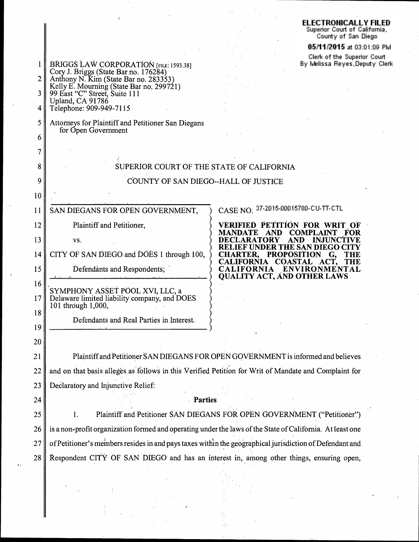# ELECTRONICALLY FILED<br>Superior Court of California<br>County of San Diego

### 05/11/2015 at 03:01:09 PM

Clerk of the Superior Court<br>By Melissa Reyes,Deputy Clerk

| 2<br>3<br>4 | BRIGGS LAW CORPORATION [FILE: 1593.38]<br>Cory J. Briggs (State Bar no. 176284)<br>Anthony N. Kim (State Bar no. 283353)<br>Kelly E. Mourning (State Bar no. 299721)<br>99 East "C" Street, Suite 111<br>Upland, CA 91786<br>Telephone: 909-949-7115 | וואקשר אותו שווא ה<br>By Melissa Reyes, De                                                                                         |  |  |  |  |
|-------------|------------------------------------------------------------------------------------------------------------------------------------------------------------------------------------------------------------------------------------------------------|------------------------------------------------------------------------------------------------------------------------------------|--|--|--|--|
| 5<br>6      | Attorneys for Plaintiff and Petitioner San Diegans<br>for Open Government                                                                                                                                                                            |                                                                                                                                    |  |  |  |  |
| 7           |                                                                                                                                                                                                                                                      |                                                                                                                                    |  |  |  |  |
| 8           | SUPERIOR COURT OF THE STATE OF CALIFORNIA                                                                                                                                                                                                            |                                                                                                                                    |  |  |  |  |
| 9           | COUNTY OF SAN DIEGO--HALL OF JUSTICE                                                                                                                                                                                                                 |                                                                                                                                    |  |  |  |  |
| 10          |                                                                                                                                                                                                                                                      |                                                                                                                                    |  |  |  |  |
| 11          | SAN DIEGANS FOR OPEN GOVERNMENT,                                                                                                                                                                                                                     | CASE NO: 37-2015-00015780-CU-TT-CTL                                                                                                |  |  |  |  |
| 12          | Plaintiff and Petitioner,                                                                                                                                                                                                                            | <b>VERIFIED PETITION FOR WRIT OF</b>                                                                                               |  |  |  |  |
| 13          | VS.                                                                                                                                                                                                                                                  | <b>AND</b><br><b>COMPLAINT</b><br><b>MANDATE</b><br>FOR<br><b>DECLARATORY</b><br>AND INJUNCTIVE                                    |  |  |  |  |
| 14          | CITY OF SAN DIEGO and DOES 1 through 100,                                                                                                                                                                                                            | <b>RELIEF UNDER THE SAN DIEGO CITY</b><br><b>CHARTER, PROPOSITION</b><br>G.<br><b>THE</b><br>CALIFORNIA COASTAL ACT,<br><b>THE</b> |  |  |  |  |
| 15          | Defendants and Respondents;                                                                                                                                                                                                                          | <b>CALIFORNIA</b><br>ENVIRONMENTAL<br><b>QUALITY ACT, AND OTHER LAWS</b>                                                           |  |  |  |  |
| 16<br>17    | SYMPHONY ASSET POOL XVI, LLC, a<br>Delaware limited liability company, and DOES<br>101 through 1,000,                                                                                                                                                |                                                                                                                                    |  |  |  |  |
| 18<br>19    | Defendants and Real Parties in Interest.                                                                                                                                                                                                             |                                                                                                                                    |  |  |  |  |
| 20          |                                                                                                                                                                                                                                                      |                                                                                                                                    |  |  |  |  |
| 21          | Plaintiff and Petitioner SAN DIEGANS FOR OPEN GOVERNMENT is informed and believes                                                                                                                                                                    |                                                                                                                                    |  |  |  |  |
| 22          | and on that basis alleges as follows in this Verified Petition for Writ of Mandate and Complaint for                                                                                                                                                 |                                                                                                                                    |  |  |  |  |
| 23          | Declaratory and Injunctive Relief:                                                                                                                                                                                                                   |                                                                                                                                    |  |  |  |  |
| 24          | Parties                                                                                                                                                                                                                                              |                                                                                                                                    |  |  |  |  |
| 25          | 1.                                                                                                                                                                                                                                                   | Plaintiff and Petitioner SAN DIEGANS FOR OPEN GOVERNMENT ("Petitioner")                                                            |  |  |  |  |
| 26          | is a non-profit organization formed and operating under the laws of the State of California. At least one                                                                                                                                            |                                                                                                                                    |  |  |  |  |
| 27          | of Petitioner's members resides in and pays taxes within the geographical jurisdiction of Defendant and                                                                                                                                              |                                                                                                                                    |  |  |  |  |
| 28          | Respondent CITY OF SAN DIEGO and has an interest in, among other things, ensuring open,                                                                                                                                                              |                                                                                                                                    |  |  |  |  |
|             |                                                                                                                                                                                                                                                      |                                                                                                                                    |  |  |  |  |

ė,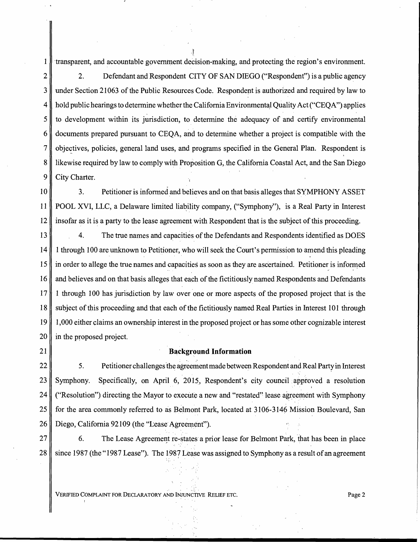1 ·transparent, and accountable government deCision-making, and protecting the region's environment. 2 2. Defendant and Respondent CITY OF SAN DIEGO ("Respondent") is a public agency 3 under Section 21063 of the Public Resources Code. Respondent is authorized and required by law to  $4 \parallel$  hold public hearings to determine whether the California Environmental Quality Act ("CEQA") applies  $5$  to development within its jurisdiction, to determine the adequacy of and certify environmental 6 documents prepared pursuant to CEQA, and to determine whether a project is compatible with the  $7 \parallel$  objectives, policies, general land uses, and programs specified in the General Plan. Respondent is 8 | likewise required by law to comply with Proposition G, the California Coastal Act, and the San Diego 9 City Charter.

·l

10 3. Petitioner is informed and believes and on that basis alleges that SYMPHONY ASSET 11 POOL XVI, LLC, a Delaware limited liability company, ("Symphony"), is a Real Party in Interest 12 insofar as it is a party to the lease agreement with Respondent that is the subject of this proceeding.

13 4. The true names and capacities of the Defendants and Respondents identified as DOES 14 1 through 100 are unknown to Petitioner, who will seek the Court's permission to amend this pleading  $15$  in order to allege the true names and capacities as soon as they are ascertained. Petitioner is informed 16 and believes and on that basis alleges that each of the fictitiously named Respondents and Defendants 17 1 through 100 has jurisdiction by law over one or more aspects of the proposed project that is the 18 subject of this proceeding and that each of the fictitiously named Real Parties in Interest 101 through 19 1,000 either claims an ownership interest in the proposed project or has some other cognizable interest 20 || in the proposed project.

#### 21 || **Background Information**

22  $\parallel$  5. Petitioner challenges the agreement made between Respondent and Real Party in Interest 23 Symphony. Specifically, on April 6, 2015, Respondent's city council approved a resolution ' 24  $\parallel$  ("Resolution") directing the Mayor to execute a new and "restated" lease agreement with Symphony 25 for the area commonly referred to as Belmont Park, located at 3106-3146 Mission Boulevard, San 26 Diego, California 92109 (the "Lease Agreement").

27 6. The Lease Agreement re-states a prior lease for Belmont Park, that has been in place 28 since 1987 (the "1987 Lease"). The 1987 Lease was assigned to Symphony as a result of an agreement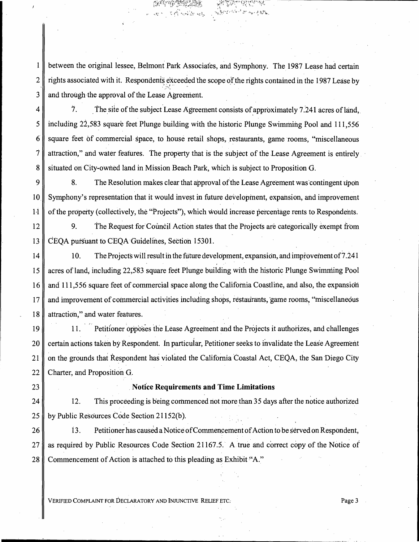between the original lessee, Belmont Park Associates, and Symphony. The 1987 Lease had certain 1 rights associated with it. Respondents exceeded the scope of the rights contained in the 1987 Lease by  $\overline{2}$ and through the approval of the Lease Agreement. 3

ا في ا

The site of the subject Lease Agreement consists of approximately 7.241 acres of land, Ϊ. including 22,583 square feet Plunge building with the historic Plunge Swimming Pool and 111,556 square feet of commercial space, to house retail shops, restaurants, game rooms, "miscellaneous" attraction," and water features. The property that is the subject of the Lease Agreement is entirely situated on City-owned land in Mission Beach Park, which is subject to Proposition G.

 $\overline{9}$ 8. The Resolution makes clear that approval of the Lease Agreement was contingent upon 10 Symphony's representation that it would invest in future development, expansion, and improvement of the property (collectively, the "Projects"), which would increase percentage rents to Respondents.  $14$ 

12 9. The Request for Council Action states that the Projects are categorically exempt from CEOA pursuant to CEOA Guidelines, Section 15301. 13

14 10. The Projects will result in the future development, expansion, and improvement of 7.241 acres of land, including 22,583 square feet Plunge building with the historic Plunge Swimming Pool 15 and 111,556 square feet of commercial space along the California Coastline, and also, the expansion 16 and improvement of commercial activities including shops, restaurants, game rooms, "miscellaneous 17 attraction," and water features. 18

19 Petitioner opposes the Lease Agreement and the Projects it authorizes, and challenges 11. certain actions taken by Respondent. In particular, Petitioner seeks to invalidate the Lease Agreement 20 on the grounds that Respondent has violated the California Coastal Act, CEQA, the San Diego City  $21$ 22 Charter, and Proposition G.

## 23

4

5

6

7

8

#### **Notice Requirements and Time Limitations**

 $12.$ This proceeding is being commenced not more than 35 days after the notice authorized 24  $25$ by Public Resources Code Section 21152(b).

26 13. Petitioner has caused a Notice of Commencement of Action to be served on Respondent, 27 as required by Public Resources Code Section 21167.5. A true and correct copy of the Notice of Commencement of Action is attached to this pleading as Exhibit "A." 28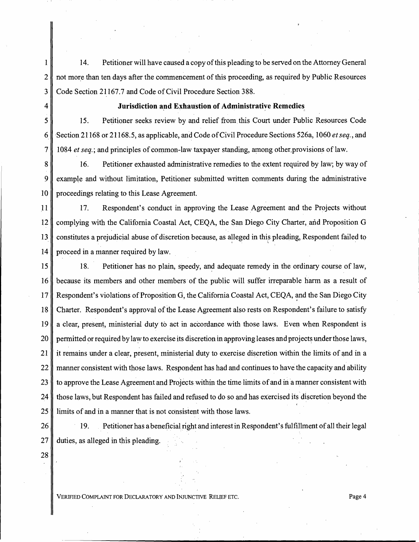1 || 14. Petitioner will have caused a copy of this pleading to be served on the Attorney General 2 not more than ten days after the commencement of this proceeding, as required by Public Resources 3 Code Section 21167.7 and Code of Civil Procedure Section 388.

#### 4 **Jurisdiction and Exhaustion of Administrative Remedies**

5 15. Petitioner seeks review by and relief from this Court under Public Resources Code 6 ·Section 21168 or 21168.5, as applicable, and Code of Civil Procedure Sections 526a, 1060 *et seq.,* and 7 1084 *et seq.;* and principles of common-law taxpayer standing, among other.provisions of law.

8 16. Petitioner exhausted administrative remedies to the extent required by law; by way of 9 example and without limitation, Petitioner submitted written comments during the administrative 10 || proceedings relating to this Lease Agreement.

11 17. Respondent's conduct in approving the Lease Agreement and the Projects without 12 complying with the California Coastal Act, CEQA, the San Diego City Charter, and Proposition G 13 constitutes a prejudicial abuse of discretion because, as alleged in this pleading, Respondent failed to 14 proceed in a manner required by law.

15 || 18. Petitioner has no plain, speedy, and adequate remedy in the ordinary course of law, 16 because its members and other members of the public will suffer irreparable harm as a result of 17 Respondent's violations of Proposition *d,* the California Coastal Act, CEQA, ~nd the San Diego City 18 Charter. Respondent's approval of the Lease Agreement also rests on Respondent's failure to satisfy 19 a clear, present, ministerial duty to act in accordance with those laws. Even when Respondent is 20 permitted or required by law to exercise its discretion in approving leases and projects under those laws, 21 it remains under a clear, present, ministerial duty to exercise discretion within the limits of and in a 22 manner consistent with those laws. Respondent has had and continues to have the capacity and ability 23  $\parallel$  to approve the Lease Agreement and Projects within the time limits of and in a manner consistent with 24 those laws, but Respondent has failed and refused to do so and has exercised its discretion beyond the 25 lacktriangleright 1 limits of and in a manner that is not consistent with those laws.

28

26 19. Petitioner has a beneficial right and interest in Respondent's fulfillment of all their legal  $27$   $\parallel$  duties, as alleged in this pleading.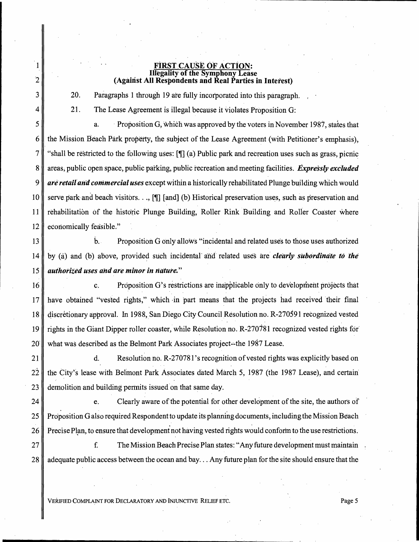#### FiRST.CAUSE OF ACTION: Illegality of the Symphony Lease (Against All Respondents and Real Parties in Interest)

~ -------------------------------------------

20. Paragraphs 1 through 19 ate fully incorporated into this paragraph.

21. The Lease Agreement is illegal because it violates Proposition G:

1

2

3

4

5 a. · Proposition G, which was approved by the voters in November 1987, states that 6 the Mission Beach Park property, the subject of the Lease Agreement (with Petitioner's emphasis), 7 "shall be restricted to the following uses:  $\left[\right]$  (a) Public park and recreation uses such as grass, picnic 8 areas; public *open* space, public parking, public recreation and meeting facilities. *Expressly excluded*  9 *are· retailana commercial uses* except within a historically rehabilitated Plunge building which would 10 serve park and beach visitors..., [ $\parallel$ ] [and] (b) Historical preservation uses, such as preservation and 11 rehabilitation of the historic Plunge Building, Roller Rink Building and Roller Coaster where 12 economically feasible."

13  $\parallel$  b. Proposition G only allows "incidental and related uses to those uses authorized 14 by (a) and (b) above, provided such incidental and related uses are *clearly subordinate to the* 15 *authorized uses and are minor in nature."* 

16 c. Proposition G's restrictions are inapplicable only to development projects that 17  $\parallel$  have obtained "vested rights," which in part means that the projects had received their final 18 discretionary approval. In 1988, San Diego City Council Resolution no. R-270591 recognized vested 19 rights in the Giant Dipper roller coaster, while Resolution no. R-270781 recognized vested rights for 20 what was described as the Belmont Park Associates project--the 1987 Lease.

21 d. Resolution no. R-270781's recognition of vested rights was explicitly based on  $22$  the City's lease with Belmont Park Associates dated March 5, 1987 (the 1987 Lease), and certain 23 demolition and building permits issued on that same day.

24 e. Clearly aware of the potential for other development of the site, the authors of 25 Proposition G also required Respondent to update its planning documents, including the Mission Beach 26 Precise Plan, to ensure that development not having vested rights would conform to the use restrictions. Precise Plan, to ensure that development not having vested rights would conform to the use restrictions.

27 **f. Example 27 f.** The Mission Beach Precise Plan states: "Any future development must maintain 28 adequate public access between the ocean and bay... Any future plan for the site should ensure that the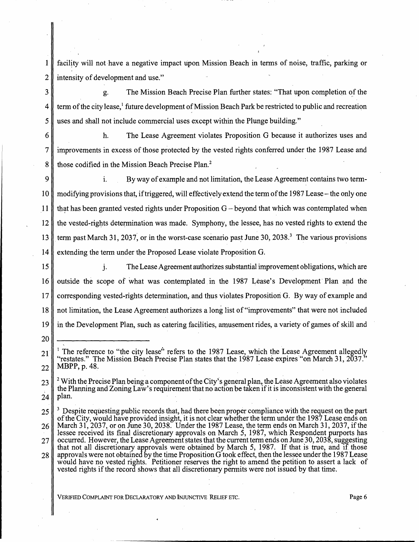1 facility will not ·have a negative impact upon Mission Beach in terms of noise, traffic, parking or 2 intensity of development and use."

3 g. The Mission Beach Precise Plan further states: "That upon completion of the 4 term of the city lease,<sup>1</sup> future development of Mission Beach Park be restricted to public and recreation 5 uses and shall not include commercial uses except within the Plunge building."

6 h. The Lease Agreement violates Proposition G because it authorizes uses and 7 improvements in excess of those protected by the vested rights conferred under the 1987 Lease and 8 those codified in the Mission Beach Precise Plan.<sup>2</sup>

9 || i. By way of example and not limitation, the Lease Agreement contains two term-10  $\parallel$  modifying provisions that, if triggered, will effectively extend the term of the 1987 Lease – the only one 11 that has been granted vested rights under Proposition  $G$  – beyond that which was contemplated when 12 the vested-rights determination was made. Symphony, the lessee, has no vested rights to extend the 13  $\parallel$  term past March 31, 2037, or in the worst-case scenario past June 30, 2038.<sup>3</sup> The various provisions 14 extending the term under the Proposed Lease violate Proposition G.

20

\

15 j. The Lease Agreement authorizes substantial improvement obligations, which are 16 outside the scope of what was contemplated in the 1987 Lease's Development Plan and the 17 corresponding vested-rights determination, and thus violates Proposition G. By way of example and 18 not limitation, the Lease Agreement authorizes a long list of"improvements" that were not included 19 in the Development Plan, such as catering facilities, amusement rides, a variety of games of skill and

 $21$ <sup>1</sup> The reference to "the city lease" refers to the 1987 Lease, which the Lease Agreement allegedly "restates." The Mission Beach Precise Plan states that the 1987 Lease expires." on March 31,  $2037$ ."  $22 \parallel$  MBPP, p. 48.

 $23$   $\parallel$  <sup>2</sup> With the Precise Plan being a component of the City's general plan, the Lease Agreement also violates the Planning and Zoning Law's requirement that no action be taken if it is inconsistent with the-general  $24$  | plan.

<sup>25</sup>  26 27 28 3 Despite requesting public records that, had there been proper compliance with the request on the part of the City, would have provided insight, it is not clear whether the term under the 1987 Lease ends on March 31, 2037, or on June 30, 2038. Under the 1987 Lease, the term ends on March 31, 2037, if the lessee received its final discretionary approvals on March 5, 1987, which Respondent purports has occurred. However, the Lease Agreement states that the current term ends on June 30, 2038, suggesting that not all discretionary approvals were obtained by March 5, 1987. If that is true, and if those approvals were not obtained by the time Proposition  $G$  took effect, then the lessee under the 1987 Lease would have no vested rights. Petitioner reserves the right to amend the petition to assert a lack of vested rights if the record shows that all discretionary permits were not issued by that time.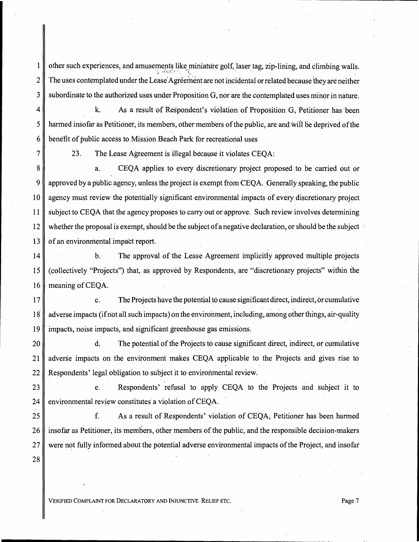1 other such experiences, and amusements like miniature golf, laser tag, zip-lining, and climbing walls. :,:. ( .~ ... ,lj • ·' ' • • ' ~ ~. ' 2  $\parallel$  The uses contemplated under the Lease Agreement are not incidental or related because they are neither 3 subordinate to the authorized uses under Proposition G, nor are the contemplated uses minor in nature.

 $4 \parallel$  k. As a result of Respondent's violation of Proposition G, Petitioner has been  $5 \parallel$  harmed insofar as Petitioner, its members, other members of the public, are and will be deprived of the  $6 \parallel$  benefit of public access to Mission Beach Park for recreational uses

7

28

23. The Lease Agreement is illegal because it violates CEQA:

8 a. CEQA applies to every discretionary project proposed. to be carried out or 9 approved by a public agency, unless the project is exempt from CEQA. Generally speaking, the public 10 agency must review the potentially significant environmental impacts of every discretionary project 11 subject to CEQA that the agency proposes to carry out or approve. Such review involves determining 12 whether the proposal is exempt, should be the subject of a negative declaration, or should be the subject '  $13$ <sup> $\parallel$ </sup> of an environmental impact report.

14 b. The approval of the Lease Agreement implicitly approved multiple projects 15 (collectively ''Projects") that, as approved by Respondents, are "discretionary projects" within the 16 meaning of CEOA.

 $17$  c. The Projects have the potential to cause significant direct, indirect, or cumulative 18 adverse impacts (if not all such impacts) on the environment, including, among other things, air-quality 19 impacts, noise impacts, and significant greenhouse gas emissions.

20 d. The potential of the Projects to cause significant direct, indirect, or cumulative . . 21 adverse impacts on the environment makes CEQA applicable to the Projects and gives rise to 22 Respondents' legal obligation to subject it to environmental review.

23 e. Respondents' refusal to apply CEQA to the Projects and subject it to 24 environmental review constitutes a violation of CEQA.

25 f. As a result of Respondents' violation of CEQA, Petitioner has been harmed 26 insofar as Petitioner, its members, other members of the public, and the responsible decision-makers 27 were not fully informed about the potential adverse environmental impacts of the Project, and insofar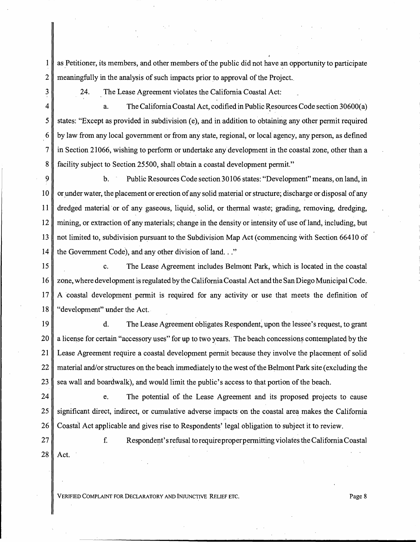$1 \parallel$  as Petitioner, its members, and other members of the public did not have an opportunity to participate 2 meaningfully in the analysis of such impacts prior to approval of the Project.

3 4 24. The Lease Agreement violates the California Coastal Act:

a. The California Coastal Act, codified in Public Resources Code section 30600(a) 5 states: "Except as provided in subdivision (e), and in addition to obtaining any other permit required  $6 \parallel$  by law from any local government or from any state, regional, or local agency, any person, as defined 7 in Section 21066, wishing to perform or undertake any development in the coastal zone, other than a 8 facility subject to Section 25500, shall obtain a coastal development permit."

9 b. Public Resources Code section 30106 states: "Development" means, on land, in 10 or under water, the placement or erection of any solid material or structure; discharge or disposal of any 11 dredged material or of any gaseous, liquid, solid, or thermal waste; grading, removing, dredging, 12 mining, or extraction of any materials; change in the density or intensity of use of land, including, but 13 not limited to, subdivision pursuant to the Subdivision Map Act (commencing with Section 66410 of 14 the Government Code), and any other division of land.  $\cdot$ ."

15 **c.** The Lease Agreement includes Belmont Park, which is located in the coastal 16 Zone, where development is regulated by the California Coastal Act and the San Diego Municipal Code. 17 A coastal development permit is required for any activity or use that meets the definition of 18 Gevelopment" under the Act.

19 d. The Lease Agreement obligates Respondent, upon the lessee's request, to grant  $20$  a license for certain "accessory uses" for up to two years. The beach concessions contemplated by the 21 Lease Agreement require a coastal development permit because they involve the placement of solid 22 material and/or structures on the beach immediately to the west of the Belmont Park site (excluding the 23 sea wall and boardwalk), and would limit the public's access to that portion of the beach.

24 e. The potential of the Lease Agreement and its proposed projects to cause  $25$  significant direct, indirect, or cumulative adverse impacts on the coastal area makes the California 26 Coastal Act applicable and gives rise to Respondents' legal obligation to subject it to review.

27 || f. Respondent's refusal to require proper permitting violates the California Coastal  $28$  Act.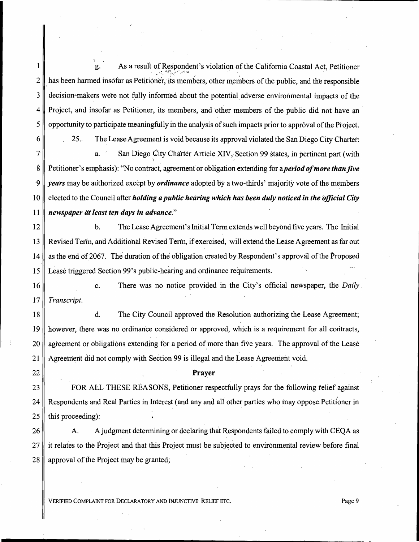1 g. As a result of Respondent's violation of the California Coastal Act, Petitioner  $\epsilon = -\frac{1}{2} \frac{1}{2} \frac{1}{2} \frac{1}{2} \frac{1}{2} \frac{1}{2} \frac{1}{2} \frac{1}{2} \frac{1}{2} \frac{1}{2} \frac{1}{2} \frac{1}{2} \frac{1}{2} \frac{1}{2} \frac{1}{2} \frac{1}{2} \frac{1}{2} \frac{1}{2} \frac{1}{2} \frac{1}{2} \frac{1}{2} \frac{1}{2} \frac{1}{2} \frac{1}{2} \frac{1}{2} \frac{1}{2} \frac{1}{2} \frac{1}{2} \frac{1}{2} \frac{1}{2} \frac{1}{2$  $2 \parallel$  has been harmed insofar as Petitioner, its members, other members of the public, and the responsible  $3 \parallel$  decision-makers were not fully informed about the potential adverse environmental impacts of the  $4 \parallel$  Project, and insofar as Petitioner, its members, and other members of the public did not have an  $5 \parallel$  opportunity to participate meaningfully in the analysis of such impacts prior to approval of the Project. 6 25.. The Lease Agreement is void because its approval violated the San Diego City Charter:

 $7<sup>1</sup>$ a. San Diego City Charter Article XIV, Section 99 states, in pertinent part (with 8 Petitioner's emphasis): "No contract, agreement or obligation extending for a *period of more than five* 9 *years* may be authorized except by *ordinance* adopted by a two-thirds' majority vote of the members 10 elected to the Council after *holding a public hearing which has been duly noticed in the official City*  11 *newspaper at least ten days in advance.*"

12 b. The Lease Agreement's Initial Term extends well beyond five years. The Initial 13 Revised Term, and Additional Revised Term, if exercised, will extend the Lease Agreement as far out 14 as the end of2067. The' duration of the obligation created by Respondent's approval of the Proposed 15 Lease triggered Section 99's public-hearing and ordinance requirements.

16 c. There was no notice provided in the City's official newspaper, the *Daily* 17 *Transcript.* 

18 d. The City Council approved the Resolution authorizing the Lease Agreement; 19 however, there was no ordinance considered or approved, which is a requirement for all contracts, 20 agreement or obligations extending for a period of more than five years. The approval of the Lease 21 Agreement did not comply with Section 99 is illegal and the Lease Agreement void.

22 || Prayer

23 FOR ALL THESE REASONS, Petitioner respectfully prays for the following relief against. 24 Respondents and Real Parties in Interest (and any and all other parties who may oppose Petitioner in  $25$  | this proceeding):

26 A. A judgment determining or declaring that Respondents failed to comply with CEOA as 27 it relates to the Project and that this Project must be subjected to environmental review before final 28 || approval of the Project may be granted;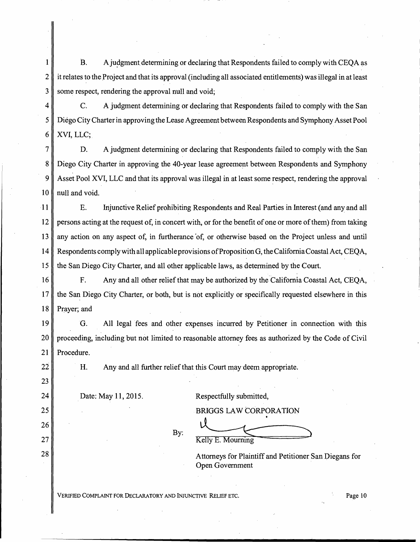1 B. A judgment determining or declaring that Respondents failed to comply with CEQA as  $2 \parallel$  it relates to the Project and that its approval (including all associated entitlements) was illegal in at least 3 some respect, rendering the approval null and void;

4 **c.** A judgment determining or declaring that Respondents failed to comply with the San 5 Diego City Charter in approving the Lease Agreement between Respondents and Symphony Asset Pool 6 | XVI, LLC;

D. A judgment determining or declaring that Respondents failed to comply with the San 8 Diego City Charter in approving the 40-year lease agreement between Respondents and Symphony Asset Pool XVI, LLC and that its approval was illegal in at least some respect, rendering the approval  $\parallel$  null and void.

11 E. Irtjunctive Relief prohibiting Respondents and Real Parties in Interest( and any and all 12 persons acting at the request of, in concert with, or for the benefit of one or more of them) from taking 13 any action on any aspect of, in furtherance 'of, or otherwise based on the Project unless and until 14 Respondents comply with all applicable provisions ofProposition G, the California Coastal Act, CEQA, 15 the San Diego City Charter, and all other applicable laws, as determined by the Court.

16 F. Any and all other relief that may be authorized by the California Coastal Act, CEQA, 17 the San Diego City Charter, or both, but is not explicitly or specifically requested elsewhere in this 18 Prayer; and

19 G. All legal fees and other expenses incurred by Petitioner in connection with this 20 proceeding, including but not limited to reasonable attorney fees as authorized by the Code of Civil 21 | Procedure.

H. Any and all further relief that this Court may deemappropriate.

22

23

24

25

26

27

28

Date: May 11, 2015. Respectfully submitted,

By:

BRIGGS LAW CORPORATION Kelly E. Mourning

Attorneys for Plaintiff and Petitioner San Diegans for Open Government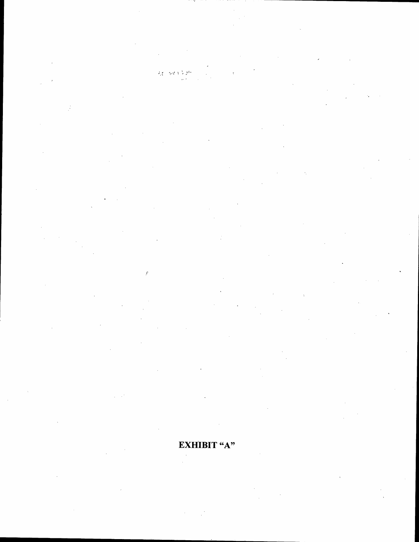程 N4333

 $\mathcal{L}$ 

## ЕХНІВІТ "А"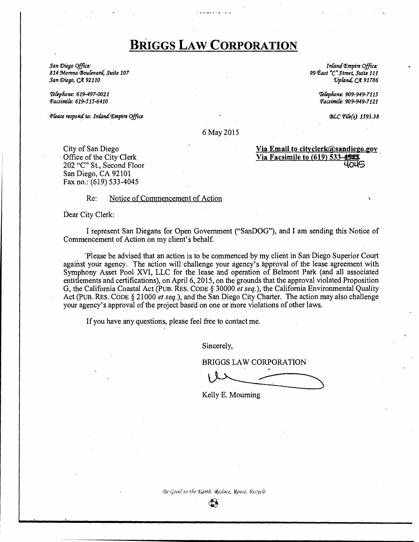# BRIGGS **LAW** CORPORATION

*San (])iego Office:*  814 Morena Boulevard, Suite 107  $San$  *Diego, CA* 92110

*t'J'efepftone: 619-497-002i Pacsimife: 619-515-6410* 

·~Cease *resporitf to: InCant/ f£mpire Office* 

*Inland <i>Empire Office*: *99 P.ast* "C" *Street, Suite 111 VpCantl,* Cit *91786* 

> *t'fefepftone: .909-949-7115 Pacsimife: 909-949-7121*

> > rBLC *Pife(s) 1593.38*

6 May 2015

City of San Diego Office of the City Clerk 202 "C" St., Second Floor San Diego, CA 92101 Fax no.: (619) 533-4045

## Via Email to cityclerk@sandiego.gov Via Facsimile to  $(619)$  533- $\frac{4545}{4045}$

Re: Notice of Commencement of Action

Dear City Clerk:

I represent San Diegans for Open Government ("SanDOG"), and I am sending this Notice of Commencement of Action on my client's behalf.

"·Please be advised that an action is to be commenced by my client in San Diego Superior Court against your agency. The action will'challenge your agency's approval of the lease agreement with Symphony Asset Pool XVI, LLC for the lease and operation of Belmont Park (and all associated entitlements and certifications), on April 6, 2015, on the grounds that the approval violated Proposition G, the California Coastal Act (Pus. REs. CODE§ 30000 *et seq.),* the California Environmental Quality Act (PUB. RES. CODE § 21000 *et seq.*), and the San Diego City Charter. The action may also challenge your agency's approval of the project base'd on one or more violations of other laws.

If you have any questions, please feel free to contact me.

Sincerely,

BRIGGS LAW CORPORATiON

Kelly E. Mourning

Be Good to the Earth. Reduce, Reuse, Recycle

فتقا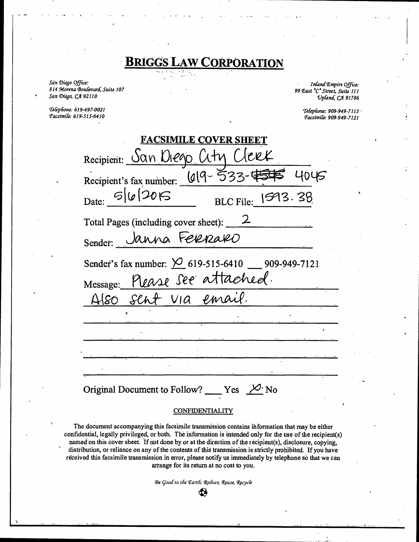# **BRIGGS LAW CORPORATION**

San Diego Office: 814 Morena Boulevard, Suite 107 San Diego, CA 92110

Telephone: 619-497-0021 Facsimile: 619-515-6410

Inland Empire Office: 99 East "C" Street, Suite 111 Upland, CA 91786

> Telephone: 909-949-7115 Facsimile: 909-949-7121

| <b>FACSIMILE COVER SHEET</b>                                          |  |  |  |  |  |  |
|-----------------------------------------------------------------------|--|--|--|--|--|--|
| Recipient: San Diego City Clerk                                       |  |  |  |  |  |  |
| Recipient's fax number: $(019 - 533 - 4545 - 4045)$                   |  |  |  |  |  |  |
| Date: 5/6/2015<br>BLC File: $ 593.38$                                 |  |  |  |  |  |  |
| Total Pages (including cover sheet): $\angle$                         |  |  |  |  |  |  |
| Sender: Janna Ferenzaro                                               |  |  |  |  |  |  |
| Sender's fax number: $\cancel{\bigcirc}$ 619-515-6410 __ 909-949-7121 |  |  |  |  |  |  |
| Message: Please See attached.                                         |  |  |  |  |  |  |
| Also sent via email.                                                  |  |  |  |  |  |  |
|                                                                       |  |  |  |  |  |  |
|                                                                       |  |  |  |  |  |  |
|                                                                       |  |  |  |  |  |  |
|                                                                       |  |  |  |  |  |  |
| Original Document to Follow? ____ Yes $\frac{1}{2}$ No                |  |  |  |  |  |  |

#### **CONFIDENTIALITY**

The document accompanying this facsimile transmission contains information that may be either confidential, legally privileged, or both. The information is intended only for the use of the recipient(s) named on this cover sheet. If not done by or at the direction of the recipient(s), disclosure, copying, distribution, or reliance on any of the contents of this transmission is strictly prohibited. If you have received this facsimile transmission in error, please notify us immediately by telephone so that we can arrange for its return at no cost to you.

> Be Good to the Earth: Reduce, Reuse, Recycle ₩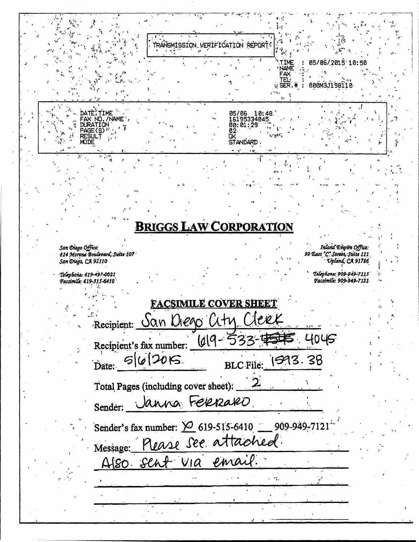|                                                                             | TRANSMISSION VERIFICATION REPORT:                |                              |                     |                                                                            |  |
|-----------------------------------------------------------------------------|--------------------------------------------------|------------------------------|---------------------|----------------------------------------------------------------------------|--|
|                                                                             |                                                  |                              | TIME<br><b>NAME</b> | 05/06/2015 10:50                                                           |  |
|                                                                             |                                                  |                              | FAX<br>TЕL-<br>SER  | 000M3J198110                                                               |  |
|                                                                             |                                                  |                              |                     |                                                                            |  |
| DATE, TIME<br>FAX NO./NAME                                                  |                                                  | 05/06 10:48<br>16195334045   |                     |                                                                            |  |
| DURATION<br>PAGE (S) <sup>*</sup><br>RESUL T                                |                                                  | 00:01:29<br>82<br><b>OK</b>  |                     |                                                                            |  |
| MODE<br>电影群                                                                 |                                                  | <b>STANDARD</b><br>e st      |                     |                                                                            |  |
|                                                                             |                                                  |                              |                     |                                                                            |  |
|                                                                             |                                                  |                              |                     |                                                                            |  |
|                                                                             |                                                  |                              |                     |                                                                            |  |
|                                                                             | <b>BRIGGS LAW CORPORATION</b>                    |                              |                     |                                                                            |  |
|                                                                             |                                                  |                              |                     |                                                                            |  |
| San Diego Office:<br>814 Morena Boulevard, Suite 107<br>San Diego, CA 92110 |                                                  |                              |                     | Inland Empire Office:<br>99 East "C. Strast, Suite 111<br>Upland, CA 91786 |  |
| Telephone: 619-497-0021                                                     |                                                  |                              |                     | Telephone: 909-949-7115                                                    |  |
| Facsimile: 619-515-6410                                                     |                                                  |                              |                     | Facsimile: 909-949-7121                                                    |  |
|                                                                             |                                                  | <u>FACSIMILE COVER SHEET</u> |                     |                                                                            |  |
|                                                                             | Recipient: San Diego City Clerk                  |                              |                     |                                                                            |  |
|                                                                             | Recipient's fax number: $(019 - 533 - 4545)$     |                              | 4045                |                                                                            |  |
| Date: 5/6/2015                                                              |                                                  | <b>BLC</b> File:             | 1593.38             |                                                                            |  |
|                                                                             |                                                  |                              |                     |                                                                            |  |
|                                                                             | Total Pages (including cover sheet): 2           |                              |                     |                                                                            |  |
| Sender:                                                                     | Janna Ferraro                                    |                              |                     |                                                                            |  |
|                                                                             | Sender's fax number: 2 619-515-6410 909-949-7121 |                              |                     |                                                                            |  |
|                                                                             | Message: Please See attached.                    |                              |                     |                                                                            |  |
|                                                                             | Also sent via email.                             |                              |                     |                                                                            |  |
|                                                                             |                                                  | a 19.                        |                     |                                                                            |  |
|                                                                             |                                                  |                              |                     |                                                                            |  |
|                                                                             |                                                  |                              |                     |                                                                            |  |

 $\ddot{a}$